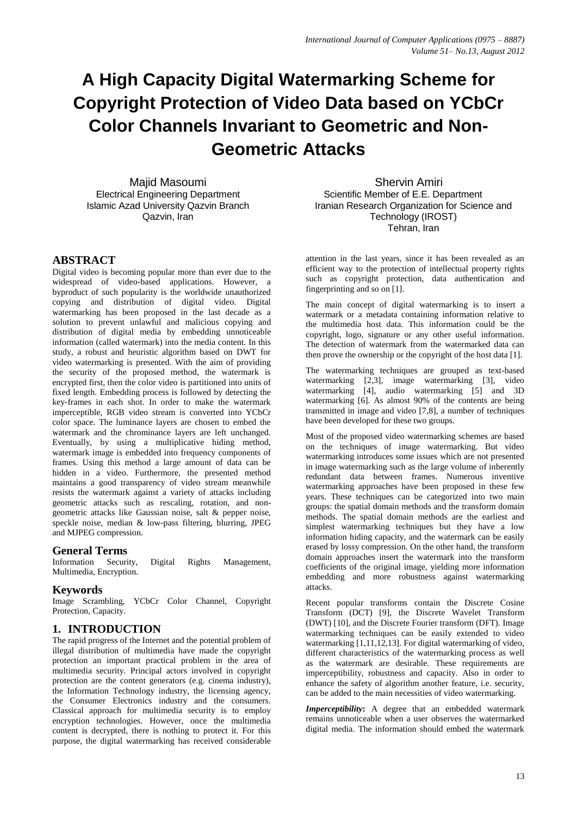# **A High Capacity Digital Watermarking Scheme for Copyright Protection of Video Data based on YCbCr Color Channels Invariant to Geometric and Non-Geometric Attacks**

Majid Masoumi Electrical Engineering Department Islamic Azad University Qazvin Branch Qazvin, Iran

**ABSTRACT**

Digital video is becoming popular more than ever due to the widespread of video-based applications. However, a byproduct of such popularity is the worldwide unauthorized copying and distribution of digital video. Digital watermarking has been proposed in the last decade as a solution to prevent unlawful and malicious copying and distribution of digital media by embedding unnoticeable information (called watermark) into the media content. In this study, a robust and heuristic algorithm based on DWT for video watermarking is presented. With the aim of providing the security of the proposed method, the watermark is encrypted first, then the color video is partitioned into units of fixed length. Embedding process is followed by detecting the key-frames in each shot. In order to make the watermark imperceptible, RGB video stream is converted into YCbCr color space. The luminance layers are chosen to embed the watermark and the chrominance layers are left unchanged. Eventually, by using a multiplicative hiding method, watermark image is embedded into frequency components of frames. Using this method a large amount of data can be hidden in a video. Furthermore, the presented method maintains a good transparency of video stream meanwhile resists the watermark against a variety of attacks including geometric attacks such as rescaling, rotation, and nongeometric attacks like Gaussian noise, salt & pepper noise, speckle noise, median & low-pass filtering, blurring, JPEG and MJPEG compression.

# **General Terms**

Information Security, Digital Rights Management, Multimedia, Encryption.

## **Keywords**

Image Scrambling, YCbCr Color Channel, Copyright Protection, Capacity.

# **1. INTRODUCTION**

The rapid progress of the Internet and the potential problem of illegal distribution of multimedia have made the copyright protection an important practical problem in the area of multimedia security. Principal actors involved in copyright protection are the content generators (e.g. cinema industry), the Information Technology industry, the licensing agency, the Consumer Electronics industry and the consumers. Classical approach for multimedia security is to employ encryption technologies. However, once the multimedia content is decrypted, there is nothing to protect it. For this purpose, the digital watermarking has received considerable

Shervin Amiri Scientific Member of E.E. Department Iranian Research Organization for Science and Technology (IROST) Tehran, Iran

attention in the last years, since it has been revealed as an efficient way to the protection of intellectual property rights such as copyright protection, data authentication and fingerprinting and so on [1].

The main concept of digital watermarking is to insert a watermark or a metadata containing information relative to the multimedia host data. This information could be the copyright, logo, signature or any other useful information. The detection of watermark from the watermarked data can then prove the ownership or the copyright of the host data [1].

The watermarking techniques are grouped as text-based watermarking [2,3], image watermarking [3], video watermarking [4], audio watermarking [5] and 3D watermarking [6]. As almost 90% of the contents are being transmitted in image and video [7,8], a number of techniques have been developed for these two groups.

Most of the proposed video watermarking schemes are based on the techniques of image watermarking. But video watermarking introduces some issues which are not presented in image watermarking such as the large volume of inherently redundant data between frames. Numerous inventive watermarking approaches have been proposed in these few years. These techniques can be categorized into two main groups: the spatial domain methods and the transform domain methods. The spatial domain methods are the earliest and simplest watermarking techniques but they have a low information hiding capacity, and the watermark can be easily erased by lossy compression. On the other hand, the transform domain approaches insert the watermark into the transform coefficients of the original image, yielding more information embedding and more robustness against watermarking attacks.

Recent popular transforms contain the Discrete Cosine Transform (DCT) [9], the Discrete Wavelet Transform (DWT) [10], and the Discrete Fourier transform (DFT). Image watermarking techniques can be easily extended to video watermarking [1,11,12,13]. For digital watermarking of video, different characteristics of the watermarking process as well as the watermark are desirable. These requirements are imperceptibility, robustness and capacity. Also in order to enhance the safety of algorithm another feature, i.e. security, can be added to the main necessities of video watermarking.

*Imperceptibility***:** A degree that an embedded watermark remains unnoticeable when a user observes the watermarked digital media. The information should embed the watermark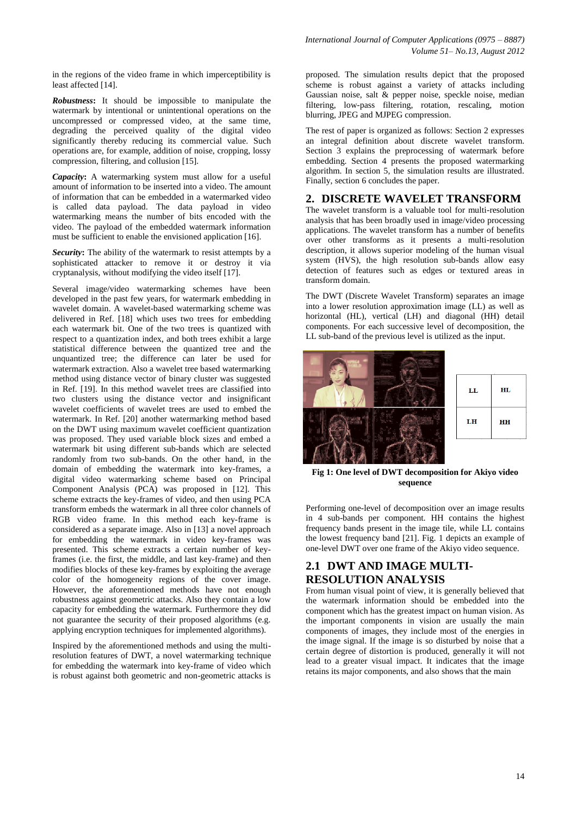in the regions of the video frame in which imperceptibility is least affected [14].

*Robustness***:** It should be impossible to manipulate the watermark by intentional or unintentional operations on the uncompressed or compressed video, at the same time, degrading the perceived quality of the digital video significantly thereby reducing its commercial value. Such operations are, for example, addition of noise, cropping, lossy compression, filtering, and collusion [15].

*Capacity***:** A watermarking system must allow for a useful amount of information to be inserted into a video. The amount of information that can be embedded in a watermarked video is called data payload. The data payload in video watermarking means the number of bits encoded with the video. The payload of the embedded watermark information must be sufficient to enable the envisioned application [16].

*Security***:** The ability of the watermark to resist attempts by a sophisticated attacker to remove it or destroy it via cryptanalysis, without modifying the video itself [17].

Several image/video watermarking schemes have been developed in the past few years, for watermark embedding in wavelet domain. A wavelet-based watermarking scheme was delivered in Ref. [18] which uses two trees for embedding each watermark bit. One of the two trees is quantized with respect to a quantization index, and both trees exhibit a large statistical difference between the quantized tree and the unquantized tree; the difference can later be used for watermark extraction. Also a wavelet tree based watermarking method using distance vector of binary cluster was suggested in Ref. [19]. In this method wavelet trees are classified into two clusters using the distance vector and insignificant wavelet coefficients of wavelet trees are used to embed the watermark. In Ref. [20] another watermarking method based on the DWT using maximum wavelet coefficient quantization was proposed. They used variable block sizes and embed a watermark bit using different sub-bands which are selected randomly from two sub-bands. On the other hand, in the domain of embedding the watermark into key-frames, a digital video watermarking scheme based on Principal Component Analysis (PCA) was proposed in [12]. This scheme extracts the key-frames of video, and then using PCA transform embeds the watermark in all three color channels of RGB video frame. In this method each key-frame is considered as a separate image. Also in [13] a novel approach for embedding the watermark in video key-frames was presented. This scheme extracts a certain number of keyframes (i.e. the first, the middle, and last key-frame) and then modifies blocks of these key-frames by exploiting the average color of the homogeneity regions of the cover image. However, the aforementioned methods have not enough robustness against geometric attacks. Also they contain a low capacity for embedding the watermark. Furthermore they did not guarantee the security of their proposed algorithms (e.g. applying encryption techniques for implemented algorithms).

Inspired by the aforementioned methods and using the multiresolution features of DWT, a novel watermarking technique for embedding the watermark into key-frame of video which is robust against both geometric and non-geometric attacks is proposed. The simulation results depict that the proposed scheme is robust against a variety of attacks including Gaussian noise, salt & pepper noise, speckle noise, median filtering, low-pass filtering, rotation, rescaling, motion blurring, JPEG and MJPEG compression.

The rest of paper is organized as follows: Section 2 expresses an integral definition about discrete wavelet transform. Section 3 explains the preprocessing of watermark before embedding. Section 4 presents the proposed watermarking algorithm. In section 5, the simulation results are illustrated. Finally, section 6 concludes the paper.

# **2. DISCRETE WAVELET TRANSFORM**

The wavelet transform is a valuable tool for multi-resolution analysis that has been broadly used in image/video processing applications. The wavelet transform has a number of benefits over other transforms as it presents a multi-resolution description, it allows superior modeling of the human visual system (HVS), the high resolution sub-bands allow easy detection of features such as edges or textured areas in transform domain.

The DWT (Discrete Wavelet Transform) separates an image into a lower resolution approximation image (LL) as well as horizontal (HL), vertical (LH) and diagonal (HH) detail components. For each successive level of decomposition, the LL sub-band of the previous level is utilized as the input.



**Fig 1: One level of DWT decomposition for Akiyo video sequence**

Performing one-level of decomposition over an image results in 4 sub-bands per component. HH contains the highest frequency bands present in the image tile, while LL contains the lowest frequency band [21]. Fig. 1 depicts an example of one-level DWT over one frame of the Akiyo video sequence.

# **2.1 DWT AND IMAGE MULTI-RESOLUTION ANALYSIS**

From human visual point of view, it is generally believed that the watermark information should be embedded into the component which has the greatest impact on human vision. As the important components in vision are usually the main components of images, they include most of the energies in the image signal. If the image is so disturbed by noise that a certain degree of distortion is produced, generally it will not lead to a greater visual impact. It indicates that the image retains its major components, and also shows that the main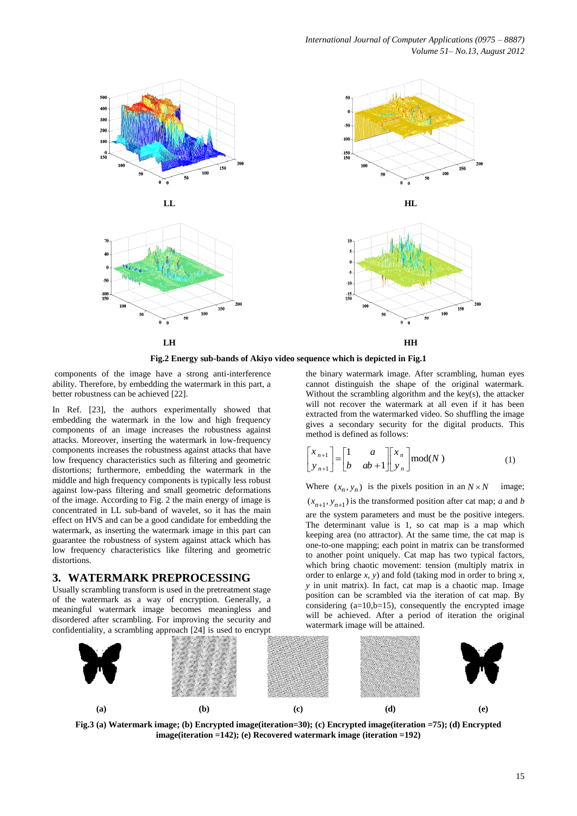

**Fig.2 Energy sub-bands of Akiyo video sequence which is depicted in Fig.1**

components of the image have a strong anti-interference ability. Therefore, by embedding the watermark in this part, a better robustness can be achieved [22].

In Ref. [23], the authors experimentally showed that embedding the watermark in the low and high frequency components of an image increases the robustness against attacks. Moreover, inserting the watermark in low-frequency components increases the robustness against attacks that have low frequency characteristics such as filtering and geometric distortions; furthermore, embedding the watermark in the middle and high frequency components is typically less robust against low-pass filtering and small geometric deformations of the image. According to Fig. 2 the main energy of image is concentrated in LL sub-band of wavelet, so it has the main effect on HVS and can be a good candidate for embedding the watermark, as inserting the watermark image in this part can guarantee the robustness of system against attack which has low frequency characteristics like filtering and geometric distortions.

## **3. WATERMARK PREPROCESSING**

Usually scrambling transform is used in the pretreatment stage of the watermark as a way of encryption. Generally, a meaningful watermark image becomes meaningless and disordered after scrambling. For improving the security and confidentiality, a scrambling approach [24] is used to encrypt

the binary watermark image. After scrambling, human eyes cannot distinguish the shape of the original watermark. Without the scrambling algorithm and the key(s), the attacker will not recover the watermark at all even if it has been extracted from the watermarked video. So shuffling the image gives a secondary security for the digital products. This method is defined as follows:

$$
\begin{bmatrix} x_{n+1} \\ y_{n+1} \end{bmatrix} = \begin{bmatrix} 1 & a \\ b & ab+1 \end{bmatrix} \begin{bmatrix} x_n \\ y_n \end{bmatrix} \text{mod}(N)
$$
 (1)

Where  $(x_n, y_n)$  is the pixels position in an *i* mage;

 $(x_{n+1}, y_{n+1})$  is the transformed position after cat map; *a* and *b* are the system parameters and must be the positive integers. The determinant value is 1, so cat map is a map which keeping area (no attractor). At the same time, the cat map is one-to-one mapping; each point in matrix can be transformed to another point uniquely. Cat map has two typical factors, which bring chaotic movement: tension (multiply matrix in order to enlarge *x, y*) and fold (taking mod in order to bring *x, y* in unit matrix). In fact, cat map is a chaotic map. Image position can be scrambled via the iteration of cat map. By considering  $(a=10,b=15)$ , consequently the encrypted image will be achieved. After a period of iteration the original watermark image will be attained.



**Fig.3 (a) Watermark image; (b) Encrypted image(iteration=30); (c) Encrypted image(iteration =75); (d) Encrypted image(iteration =142); (e) Recovered watermark image (iteration =192)**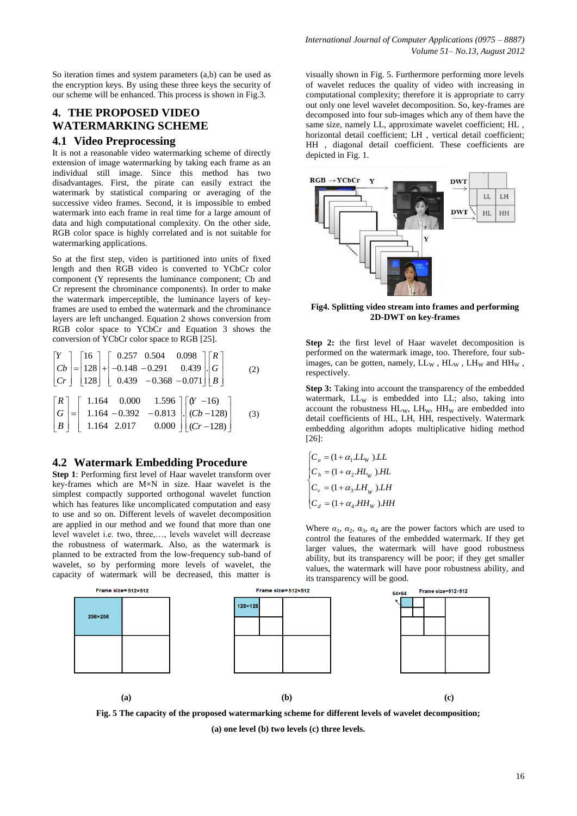So iteration times and system parameters  $(a,b)$  can be used as the encryption keys. By using these three keys the security of our scheme will be enhanced. This process is shown in Fig.3.

# **4. THE PROPOSED VIDEO WATERMARKING SCHEME**

## **4.1 Video Preprocessing**

It is not a reasonable video watermarking scheme of directly extension of image watermarking by taking each frame as an individual still image. Since this method has two disadvantages. First, the pirate can easily extract the watermark by statistical comparing or averaging of the successive video frames. Second, it is impossible to embed watermark into each frame in real time for a large amount of data and high computational complexity. On the other side, RGB color space is highly correlated and is not suitable for watermarking applications.

So at the first step, video is partitioned into units of fixed length and then RGB video is converted to YCbCr color component (Y represents the luminance component; Cb and Cr represent the chrominance components). In order to make the watermark imperceptible, the luminance layers of keyframes are used to embed the watermark and the chrominance layers are left unchanged. Equation 2 shows conversion from RGB color space to YCbCr and Equation 3 shows the

conversion of YCbCr color space to RGB [25].  
\n
$$
\begin{bmatrix} Y \\ Cb \\ Cr \end{bmatrix} = \begin{bmatrix} 16 \\ 128 \\ 128 \end{bmatrix} + \begin{bmatrix} 0.257 & 0.504 & 0.098 \\ -0.148 & -0.291 & 0.439 \\ 0.439 & -0.368 & -0.071 \end{bmatrix} \begin{bmatrix} R \\ G \\ B \end{bmatrix}
$$
\n(2)  
\n
$$
\begin{bmatrix} R \\ G \\ B \end{bmatrix} = \begin{bmatrix} 1.164 & 0.000 & 1.596 \\ 1.164 & -0.392 & -0.813 \\ 1.164 & 2.017 & 0.000 \end{bmatrix} \begin{bmatrix} (Y - 16) \\ (Cb - 128) \\ (Cr - 128) \end{bmatrix}
$$
 (3)

# **4.2 Watermark Embedding Procedure**

**Step 1**: Performing first level of Haar wavelet transform over key-frames which are M×N in size. Haar wavelet is the simplest compactly supported orthogonal wavelet function which has features like uncomplicated computation and easy to use and so on. Different levels of wavelet decomposition are applied in our method and we found that more than one level wavelet i.e. two, three,…, levels wavelet will decrease the robustness of watermark. Also, as the watermark is planned to be extracted from the low-frequency sub-band of wavelet, so by performing more levels of wavelet, the capacity of watermark will be decreased, this matter is

visually shown in Fig. 5. Furthermore performing more levels of wavelet reduces the quality of video with increasing in computational complexity; therefore it is appropriate to carry out only one level wavelet decomposition. So, key-frames are decomposed into four sub-images which any of them have the same size, namely LL, approximate wavelet coefficient; HL , horizontal detail coefficient; LH , vertical detail coefficient; HH , diagonal detail coefficient. These coefficients are depicted in Fig. 1.



**Fig4. Splitting video stream into frames and performing 2D-DWT on key-frames**

**Step 2:** the first level of Haar wavelet decomposition is performed on the watermark image, too. Therefore, four subimages, can be gotten, namely,  $LL_W$ ,  $HL_W$ ,  $LH_W$  and  $HH_W$ , respectively.

**Step 3:** Taking into account the transparency of the embedded watermark,  $LL_{W}$  is embedded into  $LL$ ; also, taking into account the robustness  $HL_W$ ,  $LH_W$ ,  $HH_W$  are embedded into detail coefficients of HL, LH, HH, respectively. Watermark embedding algorithm adopts multiplicative hiding method [26]:

$$
\begin{cases} C_a = (1 + \alpha_1.LL_W) .LL \\ C_h = (1 + \alpha_2.HL_W) .HL \\ C_v = (1 + \alpha_3.LH_W) .LH \\ C_d = (1 + \alpha_4.HH_W) .HH \end{cases}
$$

Where  $\alpha_1$ ,  $\alpha_2$ ,  $\alpha_3$ ,  $\alpha_4$  are the power factors which are used to control the features of the embedded watermark. If they get larger values, the watermark will have good robustness ability, but its transparency will be poor; if they get smaller values, the watermark will have poor robustness ability, and its transparency will be good.



**Fig. 5 The capacity of the proposed watermarking scheme for different levels of wavelet decomposition;**

**(a) one level (b) two levels (c) three levels.**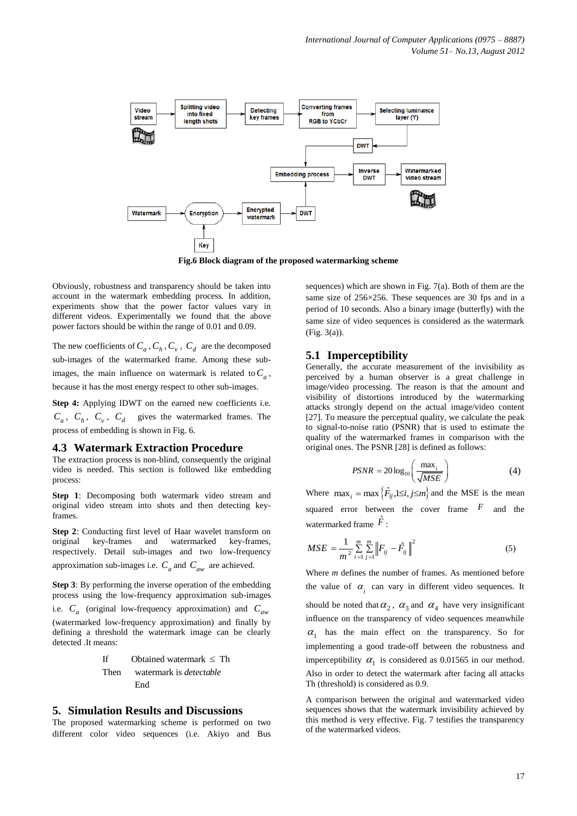

**Fig.6 Block diagram of the proposed watermarking scheme**

Obviously, robustness and transparency should be taken into account in the watermark embedding process. In addition, experiments show that the power factor values vary in different videos. Experimentally we found that the above power factors should be within the range of 0.01 and 0.09.

The new coefficients of  $C_a$ ,  $C_h$ ,  $C_v$ ,  $C_d$  are the decomposed sub-images of the watermarked frame. Among these subimages, the main influence on watermark is related to  $C_a$ , because it has the most energy respect to other sub-images.

**Step 4:** Applying IDWT on the earned new coefficients i.e.  $C_a$ ,  $C_h$ ,  $C_v$ ,  $C_d$  gives the watermarked frames. The process of embedding is shown in Fig. 6.

#### **4.3 Watermark Extraction Procedure**

The extraction process is non-blind, consequently the original video is needed. This section is followed like embedding process:

**Step 1**: Decomposing both watermark video stream and original video stream into shots and then detecting keyframes.

**Step 2**: Conducting first level of Haar wavelet transform on original key-frames and watermarked key-frames, respectively. Detail sub-images and two low-frequency approximation sub-images i.e.  $C_a$  and  $C_{aw}$  are achieved.

**Step 3**: By performing the inverse operation of the embedding process using the low-frequency approximation sub-images

i.e. *C<sup>a</sup>* (original low-frequency approximation) and *Caw* (watermarked low-frequency approximation) and finally by defining a threshold the watermark image can be clearly detected .It means:

If 
$$
Obtained watermark \leq Then watermark
$$
 is *detectable* End

#### **5. Simulation Results and Discussions**

The proposed watermarking scheme is performed on two different color video sequences (i.e. Akiyo and Bus sequences) which are shown in Fig. 7(a). Both of them are the same size of 256×256. These sequences are 30 fps and in a period of 10 seconds. Also a binary image (butterfly) with the same size of video sequences is considered as the watermark (Fig. 3(a)).

#### **5.1 Imperceptibility**

Generally, the accurate measurement of the invisibility as perceived by a human observer is a great challenge in image/video processing. The reason is that the amount and visibility of distortions introduced by the watermarking attacks strongly depend on the actual image/video content [27]. To measure the perceptual quality, we calculate the peak to signal-to-noise ratio (PSNR) that is used to estimate the quality of the watermarked frames in comparison with the original ones. The PSNR [28] is defined as follows:

$$
PSNR = 20\log_{10}\left(\frac{\max_{i}}{\sqrt{MSE}}\right) \tag{4}
$$

Where  $\max_i = \max \left\{ \hat{F}_{ij}, 1 \leq i, j \leq m \right\}$  and the MSE is the mean squared error between the cover frame  $F$  and the watermarked frame  $\hat{F}$ :

$$
MSE = \frac{1}{m^2} \sum_{i=1}^{m} \sum_{j=1}^{m} \left\| F_{ij} - \hat{F}_{ij} \right\|^2
$$
 (5)

Where *m* defines the number of frames. As mentioned before the value of  $\alpha$ <sub>i</sub> can vary in different video sequences. It should be noted that  $\alpha_2$ ,  $\alpha_3$  and  $\alpha_4$  have very insignificant influence on the transparency of video sequences meanwhile  $\alpha_1$  has the main effect on the transparency. So for implementing a good trade-off between the robustness and imperceptibility  $\alpha_1$  is considered as 0.01565 in our method. Also in order to detect the watermark after facing all attacks Th (threshold) is considered as 0.9.

A comparison between the original and watermarked video sequences shows that the watermark invisibility achieved by this method is very effective. Fig. 7 testifies the transparency of the watermarked videos.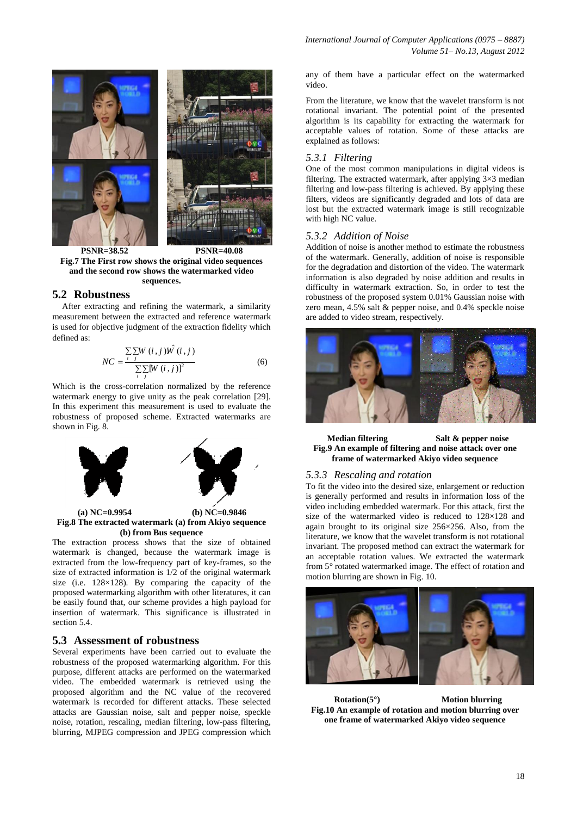

**Fig.7 The First row shows the original video sequences and the second row shows the watermarked video sequences.**

## **5.2 Robustness**

After extracting and refining the watermark, a similarity measurement between the extracted and reference watermark is used for objective judgment of the extraction fidelity which defined as:

$$
NC = \frac{\sum_{i} \sum_{j} W(i,j) \hat{W}(i,j)}{\sum_{i} \sum_{j} [W(i,j)]^2}
$$
 (6)

Which is the cross-correlation normalized by the reference watermark energy to give unity as the peak correlation [29]. In this experiment this measurement is used to evaluate the robustness of proposed scheme. Extracted watermarks are shown in Fig. 8.



**(b) from Bus sequence**

The extraction process shows that the size of obtained watermark is changed, because the watermark image is extracted from the low-frequency part of key-frames, so the size of extracted information is 1/2 of the original watermark size (i.e. 128×128). By comparing the capacity of the proposed watermarking algorithm with other literatures, it can be easily found that, our scheme provides a high payload for insertion of watermark. This significance is illustrated in section 5.4.

## **5.3 Assessment of robustness**

Several experiments have been carried out to evaluate the robustness of the proposed watermarking algorithm. For this purpose, different attacks are performed on the watermarked video. The embedded watermark is retrieved using the proposed algorithm and the NC value of the recovered watermark is recorded for different attacks. These selected attacks are Gaussian noise, salt and pepper noise, speckle noise, rotation, rescaling, median filtering, low-pass filtering, blurring, MJPEG compression and JPEG compression which

any of them have a particular effect on the watermarked video.

From the literature, we know that the wavelet transform is not rotational invariant. The potential point of the presented algorithm is its capability for extracting the watermark for acceptable values of rotation. Some of these attacks are explained as follows:

## *5.3.1 Filtering*

One of the most common manipulations in digital videos is filtering. The extracted watermark, after applying  $3\times3$  median filtering and low-pass filtering is achieved. By applying these filters, videos are significantly degraded and lots of data are lost but the extracted watermark image is still recognizable with high NC value.

#### *5.3.2 Addition of Noise*

Addition of noise is another method to estimate the robustness of the watermark. Generally, addition of noise is responsible for the degradation and distortion of the video. The watermark information is also degraded by noise addition and results in difficulty in watermark extraction. So, in order to test the robustness of the proposed system 0.01% Gaussian noise with zero mean, 4.5% salt & pepper noise, and 0.4% speckle noise are added to video stream, respectively.



**Median filtering Salt & pepper noise Fig.9 An example of filtering and noise attack over one frame of watermarked Akiyo video sequence**

#### *5.3.3 Rescaling and rotation*

To fit the video into the desired size, enlargement or reduction is generally performed and results in information loss of the video including embedded watermark. For this attack, first the size of the watermarked video is reduced to 128×128 and again brought to its original size 256×256. Also, from the literature, we know that the wavelet transform is not rotational invariant. The proposed method can extract the watermark for an acceptable rotation values. We extracted the watermark from 5° rotated watermarked image. The effect of rotation and motion blurring are shown in Fig. 10.

![](_page_5_Picture_22.jpeg)

**Rotation(5°) Motion blurring Fig.10 An example of rotation and motion blurring over one frame of watermarked Akiyo video sequence**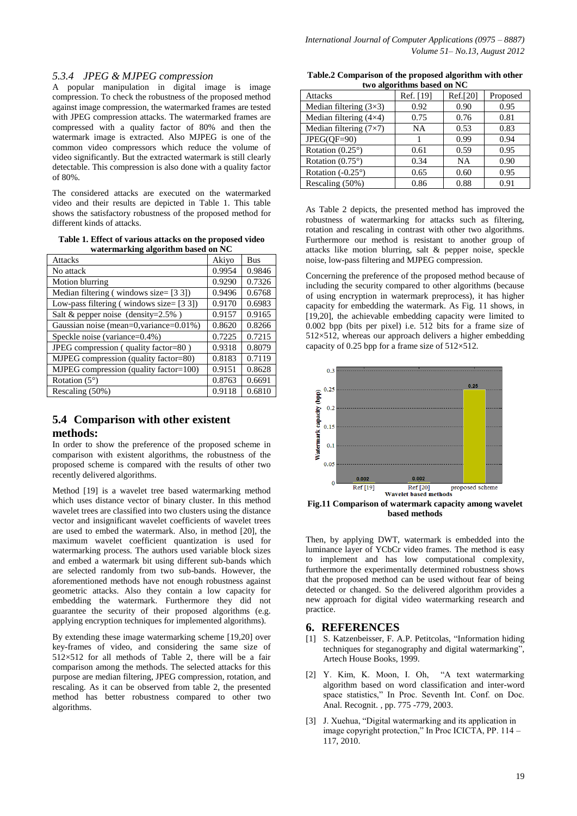## *5.3.4 JPEG & MJPEG compression*

A popular manipulation in digital image is image compression. To check the robustness of the proposed method against image compression, the watermarked frames are tested with JPEG compression attacks. The watermarked frames are compressed with a quality factor of 80% and then the watermark image is extracted. Also MJPEG is one of the common video compressors which reduce the volume of video significantly. But the extracted watermark is still clearly detectable. This compression is also done with a quality factor of 80%.

The considered attacks are executed on the watermarked video and their results are depicted in Table 1. This table shows the satisfactory robustness of the proposed method for different kinds of attacks.

**Table 1. Effect of various attacks on the proposed video watermarking algorithm based on NC**

| <b>Attacks</b>                              | Akiyo  | <b>Bus</b> |
|---------------------------------------------|--------|------------|
| No attack                                   | 0.9954 | 0.9846     |
| Motion blurring                             | 0.9290 | 0.7326     |
| Median filtering (windows size= $[3 3]$ )   | 0.9496 | 0.6768     |
| Low-pass filtering (windows size= $[3 3]$ ) | 0.9170 | 0.6983     |
| Salt & pepper noise (density= $2.5\%$ )     | 0.9157 | 0.9165     |
| Gaussian noise (mean=0, variance=0.01%)     | 0.8620 | 0.8266     |
| Speckle noise (variance=0.4%)               | 0.7225 | 0.7215     |
| JPEG compression (quality factor=80)        | 0.9318 | 0.8079     |
| MJPEG compression (quality factor=80)       | 0.8183 | 0.7119     |
| MJPEG compression (quality factor=100)      | 0.9151 | 0.8628     |
| Rotation $(5^{\circ})$                      | 0.8763 | 0.6691     |
| Rescaling $(50\%)$                          | 0.9118 | 0.6810     |

# **5.4 Comparison with other existent methods:**

In order to show the preference of the proposed scheme in comparison with existent algorithms, the robustness of the proposed scheme is compared with the results of other two recently delivered algorithms.

Method [19] is a wavelet tree based watermarking method which uses distance vector of binary cluster. In this method wavelet trees are classified into two clusters using the distance vector and insignificant wavelet coefficients of wavelet trees are used to embed the watermark. Also, in method [20], the maximum wavelet coefficient quantization is used for watermarking process. The authors used variable block sizes and embed a watermark bit using different sub-bands which are selected randomly from two sub-bands. However, the aforementioned methods have not enough robustness against geometric attacks. Also they contain a low capacity for embedding the watermark. Furthermore they did not guarantee the security of their proposed algorithms (e.g. applying encryption techniques for implemented algorithms).

By extending these image watermarking scheme [19,20] over key-frames of video, and considering the same size of  $512\times512$  for all methods of Table 2, there will be a fair comparison among the methods. The selected attacks for this purpose are median filtering, JPEG compression, rotation, and rescaling. As it can be observed from table 2, the presented method has better robustness compared to other two algorithms.

**Table.2 Comparison of the proposed algorithm with other two algorithms based on NC**

| $\sim$<br><b>Attacks</b>      | Ref. [19] | Ref.[20]  | Proposed |
|-------------------------------|-----------|-----------|----------|
| Median filtering $(3\times3)$ | 0.92      | 0.90      | 0.95     |
| Median filtering $(4\times4)$ | 0.75      | 0.76      | 0.81     |
| Median filtering $(7\times7)$ | <b>NA</b> | 0.53      | 0.83     |
| $JPEG(QF=90)$                 |           | 0.99      | 0.94     |
| Rotation $(0.25^{\circ})$     | 0.61      | 0.59      | 0.95     |
| Rotation $(0.75^{\circ})$     | 0.34      | <b>NA</b> | 0.90     |
| Rotation $(-0.25^{\circ})$    | 0.65      | 0.60      | 0.95     |
| Rescaling (50%)               | 0.86      | 0.88      | 0.91     |

As Table 2 depicts, the presented method has improved the robustness of watermarking for attacks such as filtering, rotation and rescaling in contrast with other two algorithms. Furthermore our method is resistant to another group of attacks like motion blurring, salt & pepper noise, speckle noise, low-pass filtering and MJPEG compression.

Concerning the preference of the proposed method because of including the security compared to other algorithms (because of using encryption in watermark preprocess), it has higher capacity for embedding the watermark. As Fig. 11 shows, in [19,20], the achievable embedding capacity were limited to 0.002 bpp (bits per pixel) i.e. 512 bits for a frame size of 512×512, whereas our approach delivers a higher embedding capacity of 0.25 bpp for a frame size of  $512\times512$ .

![](_page_6_Figure_14.jpeg)

**Fig.11 Comparison of watermark capacity among wavelet based methods**

Then, by applying DWT, watermark is embedded into the luminance layer of YCbCr video frames. The method is easy to implement and has low computational complexity, furthermore the experimentally determined robustness shows that the proposed method can be used without fear of being detected or changed. So the delivered algorithm provides a new approach for digital video watermarking research and practice.

# **6. REFERENCES**

- [1] S. Katzenbeisser, F. A.P. Petitcolas, "Information hiding techniques for steganography and digital watermarking", Artech House Books, 1999.
- [2] Y. Kim, K. Moon, I. Oh, "A text watermarking algorithm based on word classification and inter-word space statistics," In Proc. Seventh Int. Conf. on Doc. Anal. Recognit. , pp. 775 -779, 2003.
- [3] J. Xuehua, "Digital watermarking and its application in image copyright protection," In Proc ICICTA, PP. 114 – 117, 2010.